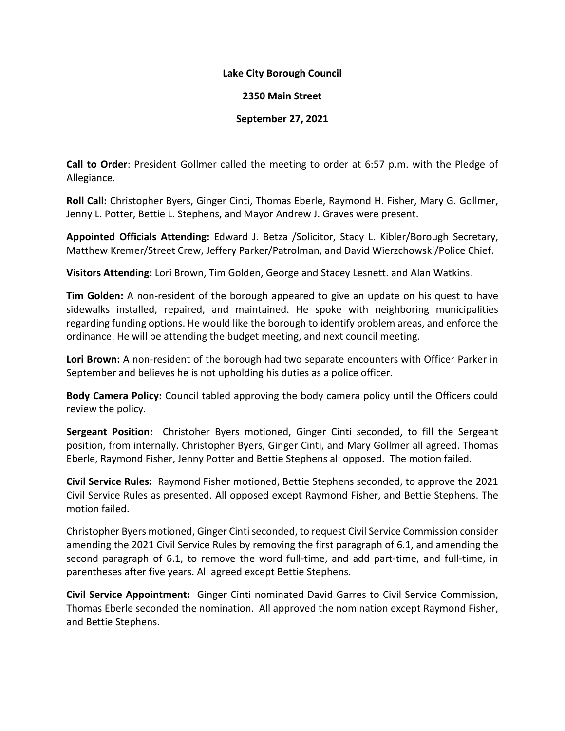## **Lake City Borough Council**

## **2350 Main Street**

## **September 27, 2021**

**Call to Order**: President Gollmer called the meeting to order at 6:57 p.m. with the Pledge of Allegiance.

**Roll Call:** Christopher Byers, Ginger Cinti, Thomas Eberle, Raymond H. Fisher, Mary G. Gollmer, Jenny L. Potter, Bettie L. Stephens, and Mayor Andrew J. Graves were present.

**Appointed Officials Attending:** Edward J. Betza /Solicitor, Stacy L. Kibler/Borough Secretary, Matthew Kremer/Street Crew, Jeffery Parker/Patrolman, and David Wierzchowski/Police Chief.

**Visitors Attending:** Lori Brown, Tim Golden, George and Stacey Lesnett. and Alan Watkins.

**Tim Golden:** A non-resident of the borough appeared to give an update on his quest to have sidewalks installed, repaired, and maintained. He spoke with neighboring municipalities regarding funding options. He would like the borough to identify problem areas, and enforce the ordinance. He will be attending the budget meeting, and next council meeting.

**Lori Brown:** A non-resident of the borough had two separate encounters with Officer Parker in September and believes he is not upholding his duties as a police officer.

**Body Camera Policy:** Council tabled approving the body camera policy until the Officers could review the policy.

**Sergeant Position:** Christoher Byers motioned, Ginger Cinti seconded, to fill the Sergeant position, from internally. Christopher Byers, Ginger Cinti, and Mary Gollmer all agreed. Thomas Eberle, Raymond Fisher, Jenny Potter and Bettie Stephens all opposed. The motion failed.

**Civil Service Rules:** Raymond Fisher motioned, Bettie Stephens seconded, to approve the 2021 Civil Service Rules as presented. All opposed except Raymond Fisher, and Bettie Stephens. The motion failed.

Christopher Byers motioned, Ginger Cinti seconded, to request Civil Service Commission consider amending the 2021 Civil Service Rules by removing the first paragraph of 6.1, and amending the second paragraph of 6.1, to remove the word full-time, and add part-time, and full-time, in parentheses after five years. All agreed except Bettie Stephens.

**Civil Service Appointment:** Ginger Cinti nominated David Garres to Civil Service Commission, Thomas Eberle seconded the nomination. All approved the nomination except Raymond Fisher, and Bettie Stephens.